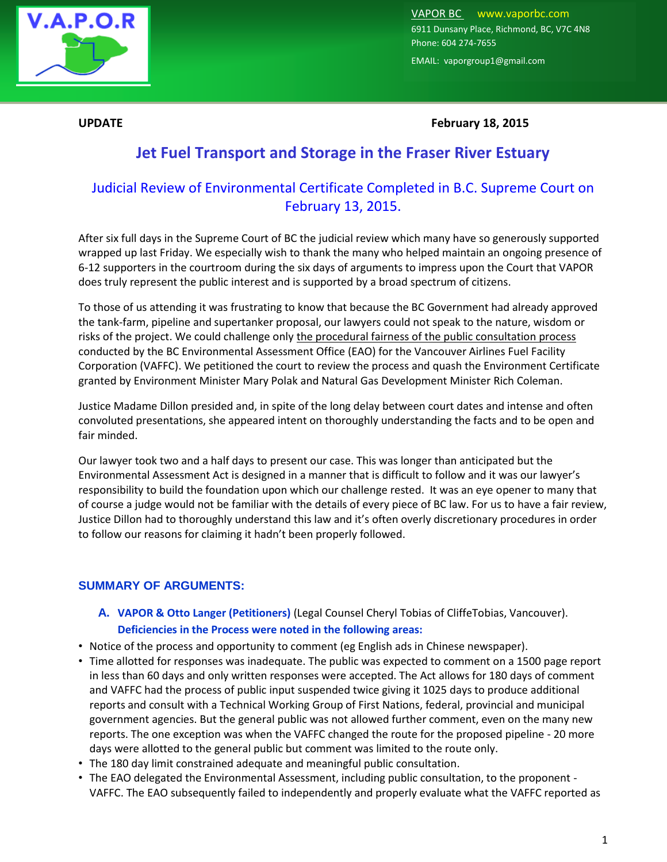

VAPOR BC [www.vaporbc.com](http://www.vaporbc.com/)  6911 Dunsany Place, Richmond, BC, V7C 4N8 Phone: 604 274-7655

EMAIL: vaporgroup1@gmail.com

**UPDATE February 18, 2015**

## **Jet Fuel Transport and Storage in the Fraser River Estuary**

# Judicial Review of Environmental Certificate Completed in B.C. Supreme Court on February 13, 2015.

After six full days in the Supreme Court of BC the judicial review which many have so generously supported wrapped up last Friday. We especially wish to thank the many who helped maintain an ongoing presence of 6-12 supporters in the courtroom during the six days of arguments to impress upon the Court that VAPOR does truly represent the public interest and is supported by a broad spectrum of citizens.

To those of us attending it was frustrating to know that because the BC Government had already approved the tank-farm, pipeline and supertanker proposal, our lawyers could not speak to the nature, wisdom or risks of the project. We could challenge only the procedural fairness of the public consultation process conducted by the BC Environmental Assessment Office (EAO) for the Vancouver Airlines Fuel Facility Corporation (VAFFC). We petitioned the court to review the process and quash the Environment Certificate granted by Environment Minister Mary Polak and Natural Gas Development Minister Rich Coleman.

Justice Madame Dillon presided and, in spite of the long delay between court dates and intense and often convoluted presentations, she appeared intent on thoroughly understanding the facts and to be open and fair minded.

Our lawyer took two and a half days to present our case. This was longer than anticipated but the Environmental Assessment Act is designed in a manner that is difficult to follow and it was our lawyer's responsibility to build the foundation upon which our challenge rested. It was an eye opener to many that of course a judge would not be familiar with the details of every piece of BC law. For us to have a fair review, Justice Dillon had to thoroughly understand this law and it's often overly discretionary procedures in order to follow our reasons for claiming it hadn't been properly followed.

### **SUMMARY OF ARGUMENTS:**

- **A. VAPOR & Otto Langer (Petitioners)** (Legal Counsel Cheryl Tobias of CliffeTobias, Vancouver). **Deficiencies in the Process were noted in the following areas:**
- Notice of the process and opportunity to comment (eg English ads in Chinese newspaper).
- Time allotted for responses was inadequate. The public was expected to comment on a 1500 page report in less than 60 days and only written responses were accepted. The Act allows for 180 days of comment and VAFFC had the process of public input suspended twice giving it 1025 days to produce additional reports and consult with a Technical Working Group of First Nations, federal, provincial and municipal government agencies. But the general public was not allowed further comment, even on the many new reports. The one exception was when the VAFFC changed the route for the proposed pipeline - 20 more days were allotted to the general public but comment was limited to the route only.
- The 180 day limit constrained adequate and meaningful public consultation.
- The EAO delegated the Environmental Assessment, including public consultation, to the proponent VAFFC. The EAO subsequently failed to independently and properly evaluate what the VAFFC reported as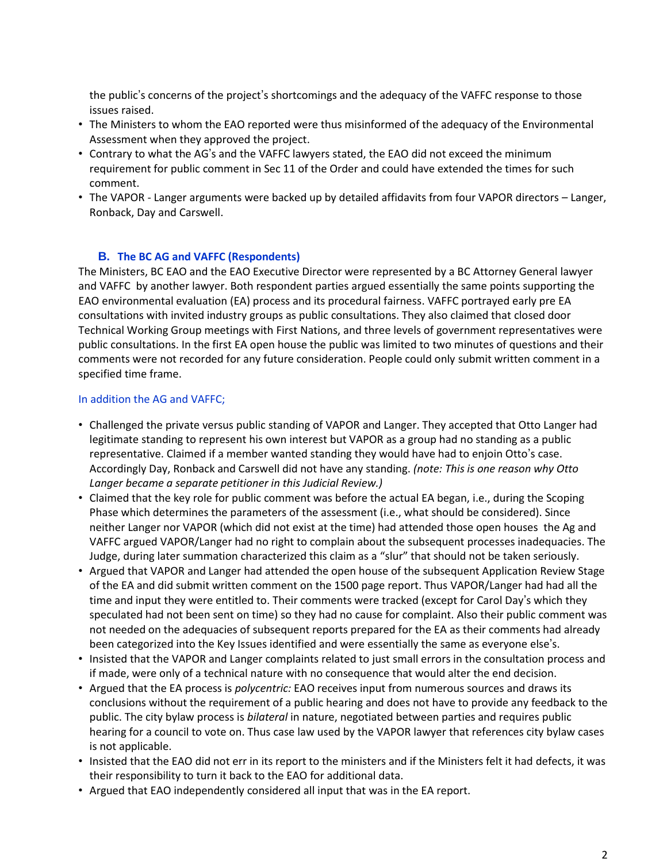the public's concerns of the project's shortcomings and the adequacy of the VAFFC response to those issues raised.

- The Ministers to whom the EAO reported were thus misinformed of the adequacy of the Environmental Assessment when they approved the project.
- Contrary to what the AG's and the VAFFC lawyers stated, the EAO did not exceed the minimum requirement for public comment in Sec 11 of the Order and could have extended the times for such comment.
- The VAPOR Langer arguments were backed up by detailed affidavits from four VAPOR directors Langer, Ronback, Day and Carswell.

### **B. The BC AG and VAFFC (Respondents)**

The Ministers, BC EAO and the EAO Executive Director were represented by a BC Attorney General lawyer and VAFFC by another lawyer. Both respondent parties argued essentially the same points supporting the EAO environmental evaluation (EA) process and its procedural fairness. VAFFC portrayed early pre EA consultations with invited industry groups as public consultations. They also claimed that closed door Technical Working Group meetings with First Nations, and three levels of government representatives were public consultations. In the first EA open house the public was limited to two minutes of questions and their comments were not recorded for any future consideration. People could only submit written comment in a specified time frame.

#### In addition the AG and VAFFC;

- Challenged the private versus public standing of VAPOR and Langer. They accepted that Otto Langer had legitimate standing to represent his own interest but VAPOR as a group had no standing as a public representative. Claimed if a member wanted standing they would have had to enjoin Otto's case. Accordingly Day, Ronback and Carswell did not have any standing. *(note: This is one reason why Otto Langer became a separate petitioner in this Judicial Review.)*
- Claimed that the key role for public comment was before the actual EA began, i.e., during the Scoping Phase which determines the parameters of the assessment (i.e., what should be considered). Since neither Langer nor VAPOR (which did not exist at the time) had attended those open houses the Ag and VAFFC argued VAPOR/Langer had no right to complain about the subsequent processes inadequacies. The Judge, during later summation characterized this claim as a "slur" that should not be taken seriously.
- Argued that VAPOR and Langer had attended the open house of the subsequent Application Review Stage of the EA and did submit written comment on the 1500 page report. Thus VAPOR/Langer had had all the time and input they were entitled to. Their comments were tracked (except for Carol Day's which they speculated had not been sent on time) so they had no cause for complaint. Also their public comment was not needed on the adequacies of subsequent reports prepared for the EA as their comments had already been categorized into the Key Issues identified and were essentially the same as everyone else's.
- Insisted that the VAPOR and Langer complaints related to just small errors in the consultation process and if made, were only of a technical nature with no consequence that would alter the end decision.
- Argued that the EA process is *polycentric:* EAO receives input from numerous sources and draws its conclusions without the requirement of a public hearing and does not have to provide any feedback to the public. The city bylaw process is *bilateral* in nature, negotiated between parties and requires public hearing for a council to vote on. Thus case law used by the VAPOR lawyer that references city bylaw cases is not applicable.
- Insisted that the EAO did not err in its report to the ministers and if the Ministers felt it had defects, it was their responsibility to turn it back to the EAO for additional data.
- Argued that EAO independently considered all input that was in the EA report.